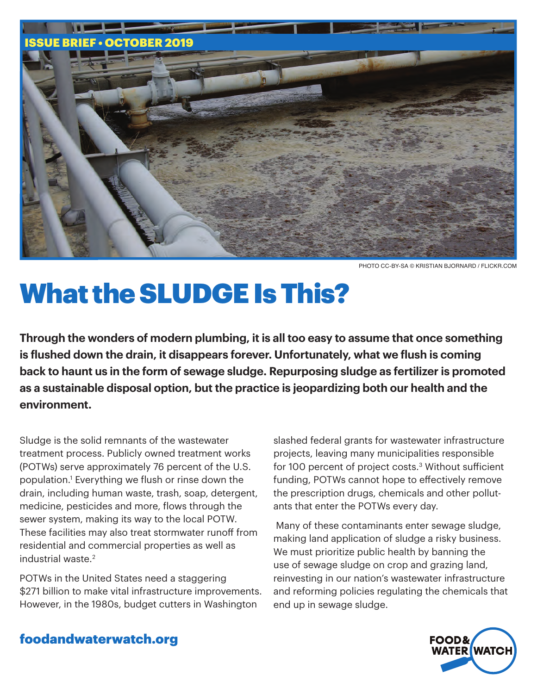

PHOTO CC-BY-SA © KRISTIAN BJORNARD / FLICKR.COM

# What the SLUDGE Is This?

**Through the wonders of modern plumbing, it is all too easy to assume that once something is flushed down the drain, it disappears forever. Unfortunately, what we flush is coming back to haunt us in the form of sewage sludge. Repurposing sludge as fertilizer is promoted as a sustainable disposal option, but the practice is jeopardizing both our health and the environment.** 

Sludge is the solid remnants of the wastewater treatment process. Publicly owned treatment works (POTWs) serve approximately 76 percent of the U.S. population.1 Everything we flush or rinse down the drain, including human waste, trash, soap, detergent, medicine, pesticides and more, flows through the sewer system, making its way to the local POTW. These facilities may also treat stormwater runoff from residential and commercial properties as well as industrial waste.2

POTWs in the United States need a staggering \$271 billion to make vital infrastructure improvements. However, in the 1980s, budget cutters in Washington

slashed federal grants for wastewater infrastructure projects, leaving many municipalities responsible for 100 percent of project costs.<sup>3</sup> Without sufficient funding, POTWs cannot hope to effectively remove the prescription drugs, chemicals and other pollutants that enter the POTWs every day.

 Many of these contaminants enter sewage sludge, making land application of sludge a risky business. We must prioritize public health by banning the use of sewage sludge on crop and grazing land, reinvesting in our nation's wastewater infrastructure and reforming policies regulating the chemicals that end up in sewage sludge.



## foodandwaterwatch.org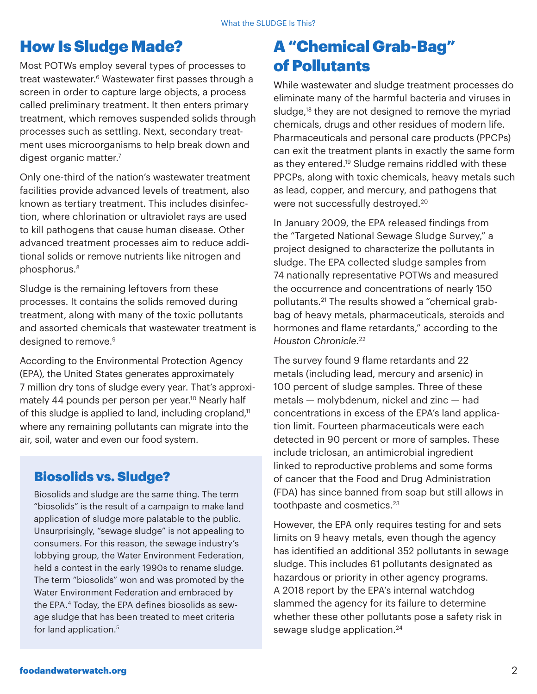## How Is Sludge Made?

Most POTWs employ several types of processes to treat wastewater.<sup>6</sup> Wastewater first passes through a screen in order to capture large objects, a process called preliminary treatment. It then enters primary treatment, which removes suspended solids through processes such as settling. Next, secondary treatment uses microorganisms to help break down and digest organic matter.<sup>7</sup>

Only one-third of the nation's wastewater treatment facilities provide advanced levels of treatment, also known as tertiary treatment. This includes disinfection, where chlorination or ultraviolet rays are used to kill pathogens that cause human disease. Other advanced treatment processes aim to reduce additional solids or remove nutrients like nitrogen and phosphorus.8

Sludge is the remaining leftovers from these processes. It contains the solids removed during treatment, along with many of the toxic pollutants and assorted chemicals that wastewater treatment is designed to remove.<sup>9</sup>

According to the Environmental Protection Agency (EPA), the United States generates approximately 7 million dry tons of sludge every year. That's approximately 44 pounds per person per year.<sup>10</sup> Nearly half of this sludge is applied to land, including cropland, $11$ where any remaining pollutants can migrate into the air, soil, water and even our food system.

## Biosolids vs. Sludge?

Biosolids and sludge are the same thing. The term "biosolids" is the result of a campaign to make land application of sludge more palatable to the public. Unsurprisingly, "sewage sludge" is not appealing to consumers. For this reason, the sewage industry's lobbying group, the Water Environment Federation, held a contest in the early 1990s to rename sludge. The term "biosolids" won and was promoted by the Water Environment Federation and embraced by the EPA.4 Today, the EPA defines biosolids as sewage sludge that has been treated to meet criteria for land application.<sup>5</sup>

# A "Chemical Grab-Bag" of Pollutants

While wastewater and sludge treatment processes do eliminate many of the harmful bacteria and viruses in sludge,<sup>18</sup> they are not designed to remove the myriad chemicals, drugs and other residues of modern life. Pharmaceuticals and personal care products (PPCPs) can exit the treatment plants in exactly the same form as they entered.<sup>19</sup> Sludge remains riddled with these PPCPs, along with toxic chemicals, heavy metals such as lead, copper, and mercury, and pathogens that were not successfully destroyed.<sup>20</sup>

In January 2009, the EPA released findings from the "Targeted National Sewage Sludge Survey," a project designed to characterize the pollutants in sludge. The EPA collected sludge samples from 74 nationally representative POTWs and measured the occurrence and concentrations of nearly 150 pollutants.21 The results showed a "chemical grabbag of heavy metals, pharmaceuticals, steroids and hormones and flame retardants," according to the *Houston Chronicle*. 22

The survey found 9 flame retardants and 22 metals (including lead, mercury and arsenic) in 100 percent of sludge samples. Three of these metals — molybdenum, nickel and zinc — had concentrations in excess of the EPA's land application limit. Fourteen pharmaceuticals were each detected in 90 percent or more of samples. These include triclosan, an antimicrobial ingredient linked to reproductive problems and some forms of cancer that the Food and Drug Administration (FDA) has since banned from soap but still allows in toothpaste and cosmetics.<sup>23</sup>

However, the EPA only requires testing for and sets limits on 9 heavy metals, even though the agency has identified an additional 352 pollutants in sewage sludge. This includes 61 pollutants designated as hazardous or priority in other agency programs. A 2018 report by the EPA's internal watchdog slammed the agency for its failure to determine whether these other pollutants pose a safety risk in sewage sludge application.<sup>24</sup>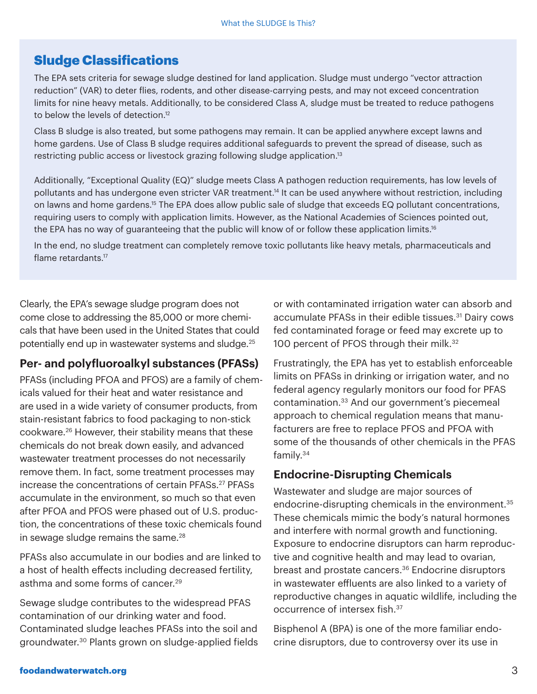## Sludge Classifications

The EPA sets criteria for sewage sludge destined for land application. Sludge must undergo "vector attraction reduction" (VAR) to deter flies, rodents, and other disease-carrying pests, and may not exceed concentration limits for nine heavy metals. Additionally, to be considered Class A, sludge must be treated to reduce pathogens to below the levels of detection.<sup>12</sup>

Class B sludge is also treated, but some pathogens may remain. It can be applied anywhere except lawns and home gardens. Use of Class B sludge requires additional safeguards to prevent the spread of disease, such as restricting public access or livestock grazing following sludge application.<sup>13</sup>

Additionally, "Exceptional Quality (EQ)" sludge meets Class A pathogen reduction requirements, has low levels of pollutants and has undergone even stricter VAR treatment.<sup>14</sup> It can be used anywhere without restriction, including on lawns and home gardens.<sup>15</sup> The EPA does allow public sale of sludge that exceeds EQ pollutant concentrations, requiring users to comply with application limits. However, as the National Academies of Sciences pointed out, the EPA has no way of guaranteeing that the public will know of or follow these application limits.<sup>16</sup>

In the end, no sludge treatment can completely remove toxic pollutants like heavy metals, pharmaceuticals and flame retardants.<sup>17</sup>

Clearly, the EPA's sewage sludge program does not come close to addressing the 85,000 or more chemicals that have been used in the United States that could potentially end up in wastewater systems and sludge.25

#### **Per- and polyfluoroalkyl substances (PFASs)**

PFASs (including PFOA and PFOS) are a family of chemicals valued for their heat and water resistance and are used in a wide variety of consumer products, from stain-resistant fabrics to food packaging to non-stick cookware.26 However, their stability means that these chemicals do not break down easily, and advanced wastewater treatment processes do not necessarily remove them. In fact, some treatment processes may increase the concentrations of certain PFASs.<sup>27</sup> PFASs accumulate in the environment, so much so that even after PFOA and PFOS were phased out of U.S. production, the concentrations of these toxic chemicals found in sewage sludge remains the same. $28$ 

PFASs also accumulate in our bodies and are linked to a host of health effects including decreased fertility, asthma and some forms of cancer.<sup>29</sup>

Sewage sludge contributes to the widespread PFAS contamination of our drinking water and food. Contaminated sludge leaches PFASs into the soil and groundwater.30 Plants grown on sludge-applied fields

or with contaminated irrigation water can absorb and accumulate PFASs in their edible tissues.<sup>31</sup> Dairy cows fed contaminated forage or feed may excrete up to 100 percent of PFOS through their milk.<sup>32</sup>

Frustratingly, the EPA has yet to establish enforceable limits on PFASs in drinking or irrigation water, and no federal agency regularly monitors our food for PFAS contamination.33 And our government's piecemeal approach to chemical regulation means that manufacturers are free to replace PFOS and PFOA with some of the thousands of other chemicals in the PFAS family.34

#### **Endocrine-Disrupting Chemicals**

Wastewater and sludge are major sources of endocrine-disrupting chemicals in the environment.35 These chemicals mimic the body's natural hormones and interfere with normal growth and functioning. Exposure to endocrine disruptors can harm reproductive and cognitive health and may lead to ovarian, breast and prostate cancers.<sup>36</sup> Endocrine disruptors in wastewater effluents are also linked to a variety of reproductive changes in aquatic wildlife, including the occurrence of intersex fish.37

Bisphenol A (BPA) is one of the more familiar endocrine disruptors, due to controversy over its use in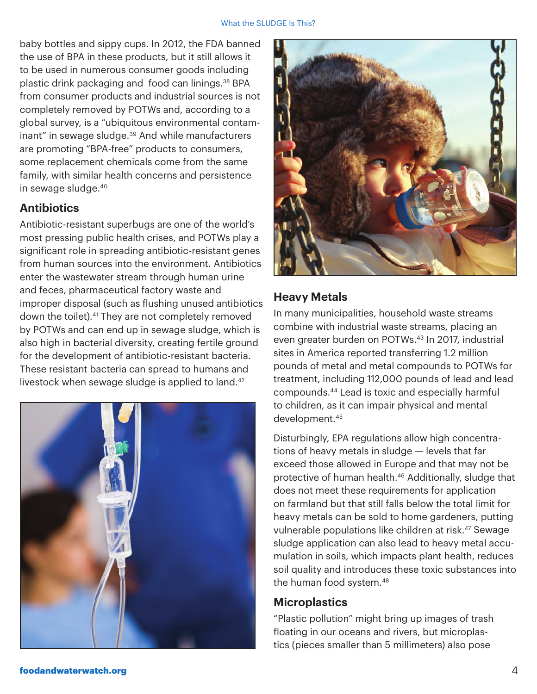#### What the SLUDGE Is This?

baby bottles and sippy cups. In 2012, the FDA banned the use of BPA in these products, but it still allows it to be used in numerous consumer goods including plastic drink packaging and food can linings.<sup>38</sup> BPA from consumer products and industrial sources is not completely removed by POTWs and, according to a global survey, is a "ubiquitous environmental contaminant" in sewage sludge.<sup>39</sup> And while manufacturers are promoting "BPA-free" products to consumers, some replacement chemicals come from the same family, with similar health concerns and persistence in sewage sludge.40

#### **Antibiotics**

Antibiotic-resistant superbugs are one of the world's most pressing public health crises, and POTWs play a significant role in spreading antibiotic-resistant genes from human sources into the environment. Antibiotics enter the wastewater stream through human urine and feces, pharmaceutical factory waste and improper disposal (such as flushing unused antibiotics down the toilet).41 They are not completely removed by POTWs and can end up in sewage sludge, which is also high in bacterial diversity, creating fertile ground for the development of antibiotic-resistant bacteria. These resistant bacteria can spread to humans and livestock when sewage sludge is applied to land.<sup>42</sup>





#### **Heavy Metals**

In many municipalities, household waste streams combine with industrial waste streams, placing an even greater burden on POTWs.<sup>43</sup> In 2017, industrial sites in America reported transferring 1.2 million pounds of metal and metal compounds to POTWs for treatment, including 112,000 pounds of lead and lead compounds.44 Lead is toxic and especially harmful to children, as it can impair physical and mental development.45

Disturbingly, EPA regulations allow high concentrations of heavy metals in sludge — levels that far exceed those allowed in Europe and that may not be protective of human health.46 Additionally, sludge that does not meet these requirements for application on farmland but that still falls below the total limit for heavy metals can be sold to home gardeners, putting vulnerable populations like children at risk.<sup>47</sup> Sewage sludge application can also lead to heavy metal accumulation in soils, which impacts plant health, reduces soil quality and introduces these toxic substances into the human food system.<sup>48</sup>

#### **Microplastics**

"Plastic pollution" might bring up images of trash floating in our oceans and rivers, but microplastics (pieces smaller than 5 millimeters) also pose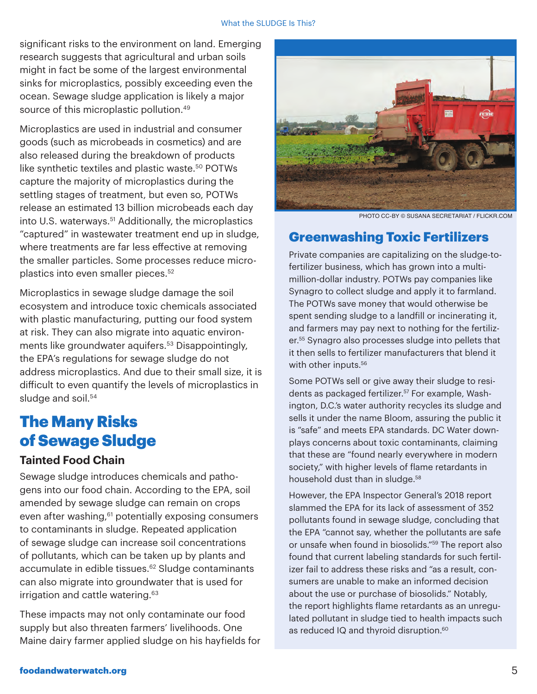significant risks to the environment on land. Emerging research suggests that agricultural and urban soils might in fact be some of the largest environmental sinks for microplastics, possibly exceeding even the ocean. Sewage sludge application is likely a major source of this microplastic pollution.<sup>49</sup>

Microplastics are used in industrial and consumer goods (such as microbeads in cosmetics) and are also released during the breakdown of products like synthetic textiles and plastic waste.<sup>50</sup> POTWs capture the majority of microplastics during the settling stages of treatment, but even so, POTWs release an estimated 13 billion microbeads each day into U.S. waterways.<sup>51</sup> Additionally, the microplastics "captured" in wastewater treatment end up in sludge, where treatments are far less effective at removing the smaller particles. Some processes reduce microplastics into even smaller pieces.52

Microplastics in sewage sludge damage the soil ecosystem and introduce toxic chemicals associated with plastic manufacturing, putting our food system at risk. They can also migrate into aquatic environments like groundwater aquifers.<sup>53</sup> Disappointingly, the EPA's regulations for sewage sludge do not address microplastics. And due to their small size, it is difficult to even quantify the levels of microplastics in sludge and soil.<sup>54</sup>

## The Many Risks of Sewage Sludge

#### **Tainted Food Chain**

Sewage sludge introduces chemicals and pathogens into our food chain. According to the EPA, soil amended by sewage sludge can remain on crops even after washing, $61$  potentially exposing consumers to contaminants in sludge. Repeated application of sewage sludge can increase soil concentrations of pollutants, which can be taken up by plants and accumulate in edible tissues.<sup>62</sup> Sludge contaminants can also migrate into groundwater that is used for irrigation and cattle watering.<sup>63</sup>

These impacts may not only contaminate our food supply but also threaten farmers' livelihoods. One Maine dairy farmer applied sludge on his hayfields for



PHOTO CC-BY © SUSANA SECRETARIAT / FLICKR.COM

#### Greenwashing Toxic Fertilizers

Private companies are capitalizing on the sludge-tofertilizer business, which has grown into a multimillion-dollar industry. POTWs pay companies like Synagro to collect sludge and apply it to farmland. The POTWs save money that would otherwise be spent sending sludge to a landfill or incinerating it, and farmers may pay next to nothing for the fertilizer.55 Synagro also processes sludge into pellets that it then sells to fertilizer manufacturers that blend it with other inputs.<sup>56</sup>

Some POTWs sell or give away their sludge to residents as packaged fertilizer.57 For example, Washington, D.C.'s water authority recycles its sludge and sells it under the name Bloom, assuring the public it is "safe" and meets EPA standards. DC Water downplays concerns about toxic contaminants, claiming that these are "found nearly everywhere in modern society," with higher levels of flame retardants in household dust than in sludge.<sup>58</sup>

However, the EPA Inspector General's 2018 report slammed the EPA for its lack of assessment of 352 pollutants found in sewage sludge, concluding that the EPA "cannot say, whether the pollutants are safe or unsafe when found in biosolids."59 The report also found that current labeling standards for such fertilizer fail to address these risks and "as a result, consumers are unable to make an informed decision about the use or purchase of biosolids." Notably, the report highlights flame retardants as an unregulated pollutant in sludge tied to health impacts such as reduced IQ and thyroid disruption.<sup>60</sup>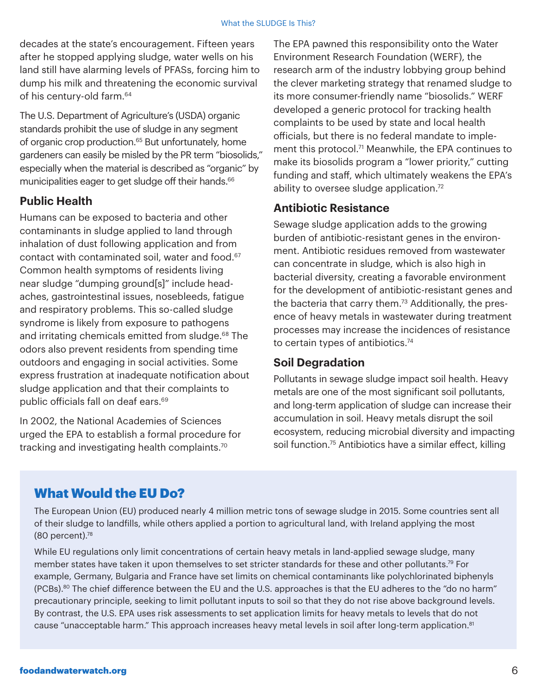decades at the state's encouragement. Fifteen years after he stopped applying sludge, water wells on his land still have alarming levels of PFASs, forcing him to dump his milk and threatening the economic survival of his century-old farm.<sup>64</sup>

The U.S. Department of Agriculture's (USDA) organic standards prohibit the use of sludge in any segment of organic crop production.<sup>65</sup> But unfortunately, home gardeners can easily be misled by the PR term "biosolids," especially when the material is described as "organic" by municipalities eager to get sludge off their hands.<sup>66</sup>

#### **Public Health**

Humans can be exposed to bacteria and other contaminants in sludge applied to land through inhalation of dust following application and from contact with contaminated soil, water and food.<sup>67</sup> Common health symptoms of residents living near sludge "dumping ground[s]" include headaches, gastrointestinal issues, nosebleeds, fatigue and respiratory problems. This so-called sludge syndrome is likely from exposure to pathogens and irritating chemicals emitted from sludge.<sup>68</sup> The odors also prevent residents from spending time outdoors and engaging in social activities. Some express frustration at inadequate notification about sludge application and that their complaints to public officials fall on deaf ears.<sup>69</sup>

In 2002, the National Academies of Sciences urged the EPA to establish a formal procedure for tracking and investigating health complaints.<sup>70</sup>

The EPA pawned this responsibility onto the Water Environment Research Foundation (WERF), the research arm of the industry lobbying group behind the clever marketing strategy that renamed sludge to its more consumer-friendly name "biosolids." WERF developed a generic protocol for tracking health complaints to be used by state and local health officials, but there is no federal mandate to implement this protocol.<sup>71</sup> Meanwhile, the EPA continues to make its biosolids program a "lower priority," cutting funding and staff, which ultimately weakens the EPA's ability to oversee sludge application.<sup>72</sup>

#### **Antibiotic Resistance**

Sewage sludge application adds to the growing burden of antibiotic-resistant genes in the environment. Antibiotic residues removed from wastewater can concentrate in sludge, which is also high in bacterial diversity, creating a favorable environment for the development of antibiotic-resistant genes and the bacteria that carry them.<sup>73</sup> Additionally, the presence of heavy metals in wastewater during treatment processes may increase the incidences of resistance to certain types of antibiotics.<sup>74</sup>

#### **Soil Degradation**

Pollutants in sewage sludge impact soil health. Heavy metals are one of the most significant soil pollutants, and long-term application of sludge can increase their accumulation in soil. Heavy metals disrupt the soil ecosystem, reducing microbial diversity and impacting soil function.<sup>75</sup> Antibiotics have a similar effect, killing

#### What Would the EU Do?

The European Union (EU) produced nearly 4 million metric tons of sewage sludge in 2015. Some countries sent all of their sludge to landfills, while others applied a portion to agricultural land, with Ireland applying the most (80 percent).78

While EU regulations only limit concentrations of certain heavy metals in land-applied sewage sludge, many member states have taken it upon themselves to set stricter standards for these and other pollutants.79 For example, Germany, Bulgaria and France have set limits on chemical contaminants like polychlorinated biphenyls (PCBs).<sup>80</sup> The chief difference between the EU and the U.S. approaches is that the EU adheres to the "do no harm" precautionary principle, seeking to limit pollutant inputs to soil so that they do not rise above background levels. By contrast, the U.S. EPA uses risk assessments to set application limits for heavy metals to levels that do not cause "unacceptable harm." This approach increases heavy metal levels in soil after long-term application.<sup>81</sup>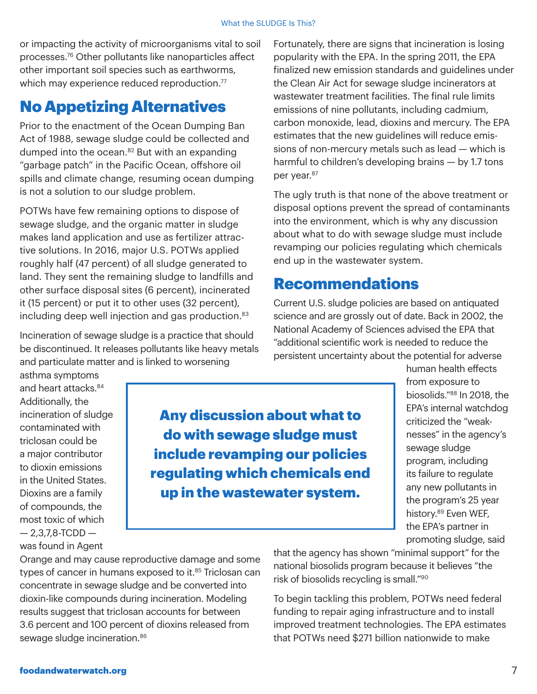or impacting the activity of microorganisms vital to soil processes.76 Other pollutants like nanoparticles affect other important soil species such as earthworms, which may experience reduced reproduction.<sup>77</sup>

## No Appetizing Alternatives

Prior to the enactment of the Ocean Dumping Ban Act of 1988, sewage sludge could be collected and dumped into the ocean.<sup>82</sup> But with an expanding "garbage patch" in the Pacific Ocean, offshore oil spills and climate change, resuming ocean dumping is not a solution to our sludge problem.

POTWs have few remaining options to dispose of sewage sludge, and the organic matter in sludge makes land application and use as fertilizer attractive solutions. In 2016, major U.S. POTWs applied roughly half (47 percent) of all sludge generated to land. They sent the remaining sludge to landfills and other surface disposal sites (6 percent), incinerated it (15 percent) or put it to other uses (32 percent), including deep well injection and gas production.<sup>83</sup>

Incineration of sewage sludge is a practice that should be discontinued. It releases pollutants like heavy metals and particulate matter and is linked to worsening

Fortunately, there are signs that incineration is losing popularity with the EPA. In the spring 2011, the EPA finalized new emission standards and guidelines under the Clean Air Act for sewage sludge incinerators at wastewater treatment facilities. The final rule limits emissions of nine pollutants, including cadmium, carbon monoxide, lead, dioxins and mercury. The EPA estimates that the new guidelines will reduce emissions of non-mercury metals such as lead — which is harmful to children's developing brains — by 1.7 tons per year.<sup>87</sup>

The ugly truth is that none of the above treatment or disposal options prevent the spread of contaminants into the environment, which is why any discussion about what to do with sewage sludge must include revamping our policies regulating which chemicals end up in the wastewater system.

## Recommendations

Current U.S. sludge policies are based on antiquated science and are grossly out of date. Back in 2002, the National Academy of Sciences advised the EPA that "additional scientific work is needed to reduce the persistent uncertainty about the potential for adverse

asthma symptoms and heart attacks.<sup>84</sup> Additionally, the incineration of sludge contaminated with triclosan could be a major contributor to dioxin emissions in the United States. Dioxins are a family of compounds, the most toxic of which  $-2,3,7,8$ -TCDD  $$ was found in Agent

Any discussion about what to do with sewage sludge must include revamping our policies regulating which chemicals end up in the wastewater system.

human health effects from exposure to biosolids."88 In 2018, the EPA's internal watchdog criticized the "weaknesses" in the agency's sewage sludge program, including its failure to regulate any new pollutants in the program's 25 year history.<sup>89</sup> Even WEF, the EPA's partner in promoting sludge, said

Orange and may cause reproductive damage and some types of cancer in humans exposed to it.<sup>85</sup> Triclosan can concentrate in sewage sludge and be converted into dioxin-like compounds during incineration. Modeling results suggest that triclosan accounts for between 3.6 percent and 100 percent of dioxins released from sewage sludge incineration.<sup>86</sup>

that the agency has shown "minimal support" for the national biosolids program because it believes "the risk of biosolids recycling is small."90

To begin tackling this problem, POTWs need federal funding to repair aging infrastructure and to install improved treatment technologies. The EPA estimates that POTWs need \$271 billion nationwide to make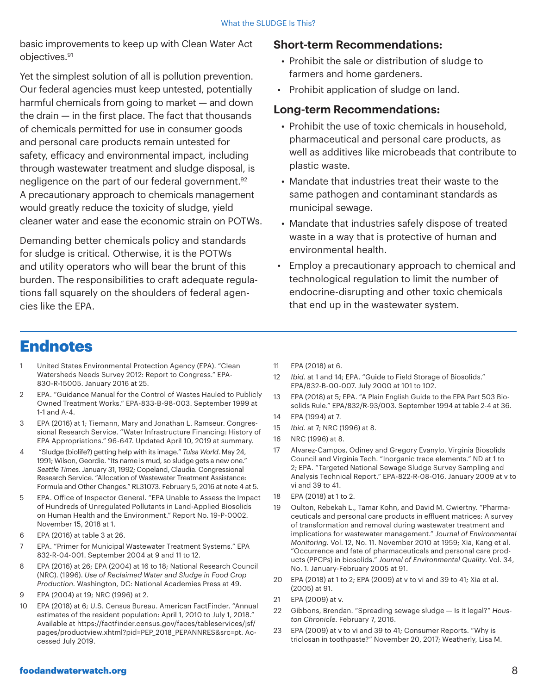basic improvements to keep up with Clean Water Act objectives.91

Yet the simplest solution of all is pollution prevention. Our federal agencies must keep untested, potentially harmful chemicals from going to market — and down the drain — in the first place. The fact that thousands of chemicals permitted for use in consumer goods and personal care products remain untested for safety, efficacy and environmental impact, including through wastewater treatment and sludge disposal, is negligence on the part of our federal government.<sup>92</sup> A precautionary approach to chemicals management would greatly reduce the toxicity of sludge, yield cleaner water and ease the economic strain on POTWs.

Demanding better chemicals policy and standards for sludge is critical. Otherwise, it is the POTWs and utility operators who will bear the brunt of this burden. The responsibilities to craft adequate regulations fall squarely on the shoulders of federal agencies like the EPA.

#### **Short-term Recommendations:**

- Prohibit the sale or distribution of sludge to farmers and home gardeners.
- Prohibit application of sludge on land.

#### **Long-term Recommendations:**

- Prohibit the use of toxic chemicals in household, pharmaceutical and personal care products, as well as additives like microbeads that contribute to plastic waste.
- Mandate that industries treat their waste to the same pathogen and contaminant standards as municipal sewage.
- Mandate that industries safely dispose of treated waste in a way that is protective of human and environmental health.
- Employ a precautionary approach to chemical and technological regulation to limit the number of endocrine-disrupting and other toxic chemicals that end up in the wastewater system.

## **Endnotes**

- United States Environmental Protection Agency (EPA). "Clean Watersheds Needs Survey 2012: Report to Congress." EPA-830-R-15005. January 2016 at 25.
- 2 EPA. "Guidance Manual for the Control of Wastes Hauled to Publicly Owned Treatment Works." EPA-833-B-98-003. September 1999 at 1-1 and A-4.
- 3 EPA (2016) at 1; Tiemann, Mary and Jonathan L. Ramseur. Congressional Research Service. "Water Infrastructure Financing: History of EPA Appropriations." 96-647. Updated April 10, 2019 at summary.
- 4 "Sludge (biolife?) getting help with its image." *Tulsa World*. May 24, 1991; Wilson, Geordie. "Its name is mud, so sludge gets a new one." *Seattle Times*. January 31, 1992; Copeland, Claudia. Congressional Research Service. "Allocation of Wastewater Treatment Assistance: Formula and Other Changes." RL31073. February 5, 2016 at note 4 at 5.
- 5 EPA. Office of Inspector General. "EPA Unable to Assess the Impact of Hundreds of Unregulated Pollutants in Land-Applied Biosolids on Human Health and the Environment." Report No. 19-P-0002. November 15, 2018 at 1.
- 6 EPA (2016) at table 3 at 26.
- 7 EPA. "Primer for Municipal Wastewater Treatment Systems." EPA 832-R-04-001. September 2004 at 9 and 11 to 12.
- 8 EPA (2016) at 26; EPA (2004) at 16 to 18; National Research Council (NRC). (1996). *Use of Reclaimed Water and Sludge in Food Crop Production*. Washington, DC: National Academies Press at 49.
- 9 EPA (2004) at 19; NRC (1996) at 2.
- 10 EPA (2018) at 6; U.S. Census Bureau. American FactFinder. "Annual estimates of the resident population: April 1, 2010 to July 1, 2018." Available at https://factfinder.census.gov/faces/tableservices/jsf/ pages/productview.xhtml?pid=PEP\_2018\_PEPANNRES&src=pt. Accessed July 2019.
- 11 EPA (2018) at 6.
- 12 *Ibid*. at 1 and 14; EPA. "Guide to Field Storage of Biosolids." EPA/832-B-00-007. July 2000 at 101 to 102.
- 13 EPA (2018) at 5; EPA. "A Plain English Guide to the EPA Part 503 Biosolids Rule." EPA/832/R-93/003. September 1994 at table 2-4 at 36.
- 14 EPA (1994) at 7.
- 15 *Ibid*. at 7; NRC (1996) at 8.
- 16 NRC (1996) at 8.
- 17 Alvarez-Campos, Odiney and Gregory Evanylo. Virginia Biosolids Council and Virginia Tech. "Inorganic trace elements." ND at 1 to 2; EPA. "Targeted National Sewage Sludge Survey Sampling and Analysis Technical Report." EPA-822-R-08-016. January 2009 at v to vi and 39 to 41.
- 18 EPA (2018) at 1 to 2.
- 19 Oulton, Rebekah L., Tamar Kohn, and David M. Cwiertny. "Pharmaceuticals and personal care products in effluent matrices: A survey of transformation and removal during wastewater treatment and implications for wastewater management." *Journal of Environmental Monitoring*. Vol. 12, No. 11. November 2010 at 1959; Xia, Kang et al. "Occurrence and fate of pharmaceuticals and personal care products (PPCPs) in biosolids." *Journal of Environmental Quality*. Vol. 34, No. 1. January-February 2005 at 91.
- 20 EPA (2018) at 1 to 2; EPA (2009) at v to vi and 39 to 41; Xia et al. (2005) at 91.
- 21 EPA (2009) at v.
- 22 Gibbons, Brendan. "Spreading sewage sludge Is it legal?" *Houston Chronicle*. February 7, 2016.
- 23 EPA (2009) at v to vi and 39 to 41; Consumer Reports. "Why is triclosan in toothpaste?" November 20, 2017; Weatherly, Lisa M.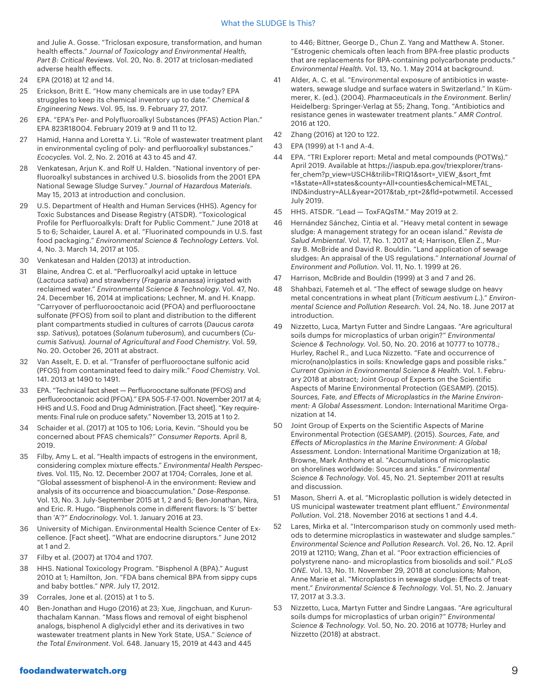and Julie A. Gosse. "Triclosan exposure, transformation, and human health effects." *Journal of Toxicology and Environmental Health, Part B: Critical Reviews*. Vol. 20, No. 8. 2017 at triclosan-mediated adverse health effects.

- 24 EPA (2018) at 12 and 14.
- 25 Erickson, Britt E. "How many chemicals are in use today? EPA struggles to keep its chemical inventory up to date." *Chemical & Engineering News*. Vol. 95, Iss. 9. February 27, 2017.
- 26 EPA. "EPA's Per- and Polyfluoroalkyl Substances (PFAS) Action Plan." EPA 823R18004. February 2019 at 9 and 11 to 12.
- 27 Hamid, Hanna and Loretta Y. Li. "Role of wastewater treatment plant in environmental cycling of poly- and perfluoroalkyl substances." *Ecocycles.* Vol. 2, No. 2. 2016 at 43 to 45 and 47.
- 28 Venkatesan, Arjun K. and Rolf U. Halden. "National inventory of perfluoroalkyl substances in archived U.S. biosolids from the 2001 EPA National Sewage Sludge Survey." *Journal of Hazardous Materials*. May 15, 2013 at introduction and conclusion.
- 29 U.S. Department of Health and Human Services (HHS). Agency for Toxic Substances and Disease Registry (ATSDR). "Toxicological Profile for Perfluoroalkyls: Draft for Public Comment." June 2018 at 5 to 6; Schaider, Laurel A. et al. "Fluorinated compounds in U.S. fast food packaging." *Environmental Science & Technology Letters.* Vol. 4, No. 3. March 14, 2017 at 105.
- 30 Venkatesan and Halden (2013) at introduction.
- 31 Blaine, Andrea C. et al. "Perfluoroalkyl acid uptake in lettuce (*Lactuca sativa*) and strawberry (*Fragaria ananassa*) irrigated with reclaimed water." *Environmental Science & Technology*. Vol. 47, No. 24. December 16, 2014 at implications; Lechner, M. and H. Knapp. "Carryover of perfluorooctanoic acid (PFOA) and perfluorooctane sulfonate (PFOS) from soil to plant and distribution to the different plant compartments studied in cultures of carrots (*Daucus carota ssp. Sativus*), potatoes (*Solanum tuberosum*), and cucumbers (*Cucumis Sativus). Journal of Agricultural and Food Chemistry*. Vol. 59, No. 20. October 26, 2011 at abstract.
- 32 Van Asselt, E. D. et al. "Transfer of perfluorooctane sulfonic acid (PFOS) from contaminated feed to dairy milk." *Food Chemistry.* Vol. 141. 2013 at 1490 to 1491.
- 33 EPA. "Technical fact sheet Perfluorooctane sulfonate (PFOS) and perfluorooctanoic acid (PFOA)." EPA 505-F-17-001. November 2017 at 4; HHS and U.S. Food and Drug Administration. [Fact sheet]. "Key requirements: Final rule on produce safety." November 13, 2015 at 1 to 2.
- 34 Schaider et al. (2017) at 105 to 106; Loria, Kevin. "Should you be concerned about PFAS chemicals?" *Consumer Reports*. April 8, 2019.
- 35 Filby, Amy L. et al. "Health impacts of estrogens in the environment, considering complex mixture effects." *Environmental Health Perspectives.* Vol. 115, No. 12. December 2007 at 1704; Corrales, Jone et al. "Global assessment of bisphenol-A in the environment: Review and analysis of its occurrence and bioaccumulation." *Dose-Response*. Vol. 13, No. 3. July-September 2015 at 1, 2 and 5; Ben-Jonathan, Nira, and Eric. R. Hugo. "Bisphenols come in different flavors: Is 'S' better than 'A'?" *Endocrinology*. Vol. 1. January 2016 at 23.
- 36 University of Michigan. Environmental Health Science Center of Excellence. [Fact sheet]. "What are endocrine disruptors." June 2012 at 1 and 2.
- 37 Filby et al. (2007) at 1704 and 1707.
- 38 HHS. National Toxicology Program. "Bisphenol A (BPA)." August 2010 at 1; Hamilton, Jon. "FDA bans chemical BPA from sippy cups and baby bottles." *NPR*. July 17, 2012.
- 39 Corrales, Jone et al. (2015) at 1 to 5.
- 40 Ben-Jonathan and Hugo (2016) at 23; Xue, Jingchuan, and Kurunthachalam Kannan. "Mass flows and removal of eight bisphenol analogs, bisphenol A diglycidyl ether and its derivatives in two wastewater treatment plants in New York State, USA." *Science of the Total Environment*. Vol. 648. January 15, 2019 at 443 and 445

to 446; Bittner, George D., Chun Z. Yang and Matthew A. Stoner. "Estrogenic chemicals often leach from BPA-free plastic products that are replacements for BPA-containing polycarbonate products." *Environmental Health.* Vol. 13, No. 1. May 2014 at background.

- 41 Alder, A. C. et al. "Environmental exposure of antibiotics in wastewaters, sewage sludge and surface waters in Switzerland." In Kümmerer, K. (ed.). (2004). *Pharmaceuticals in the Environment.* Berlin/ Heidelberg: Springer-Verlag at 55; Zhang, Tong. "Antibiotics and resistance genes in wastewater treatment plants." *AMR Control*. 2016 at 120.
- 42 Zhang (2016) at 120 to 122.
- 43 EPA (1999) at 1-1 and A-4.
- 44 EPA. "TRI Explorer report: Metal and metal compounds (POTWs)." April 2019. Available at https://iaspub.epa.gov/triexplorer/transfer\_chem?p\_view=USCH&trilib=TRIQ1&sort=\_VIEW\_&sort\_fmt =1&state=All+states&county=All+counties&chemical=METAL\_ IND&industry=ALL&year=2017&tab\_rpt=2&fld=potwmetil. Accessed July 2019.
- 45 HHS. ATSDR. "Lead ToxFAQsTM." May 2019 at 2.
- 46 Hernández Sánchez, Cintia et al. "Heavy metal content in sewage sludge: A management strategy for an ocean island." *Revista de Salud Ambiental*. Vol. 17, No. 1. 2017 at 4; Harrison, Ellen Z., Murray B. McBride and David R. Bouldin. "Land application of sewage sludges: An appraisal of the US regulations." *International Journal of Environment and Pollution*. Vol. 11, No. 1. 1999 at 26.
- 47 Harrison, McBride and Bouldin (1999) at 3 and 7 and 26.
- 48 Shahbazi, Fatemeh et al. "The effect of sewage sludge on heavy metal concentrations in wheat plant (*Triticum aestivum L.*)." *Environmental Science and Pollution Research.* Vol. 24, No. 18. June 2017 at introduction.
- 49 Nizzetto, Luca, Martyn Futter and Sindre Langaas. "Are agricultural soils dumps for microplastics of urban origin?" *Environmental Science & Technology.* Vol. 50, No. 20. 2016 at 10777 to 10778.; Hurley, Rachel R., and Luca Nizzetto. "Fate and occurrence of micro(nano)plastics in soils: Knowledge gaps and possible risks." *Current Opinion in Environmental Science & Health.* Vol. 1. February 2018 at abstract; Joint Group of Experts on the Scientific Aspects of Marine Environmental Protection (GESAMP). (2015). *Sources, Fate, and Effects of Microplastics in the Marine Environment: A Global Assessment*. London: International Maritime Organization at 14.
- 50 Joint Group of Experts on the Scientific Aspects of Marine Environmental Protection (GESAMP). (2015). *Sources, Fate, and Effects of Microplastics in the Marine Environment: A Global Assessment.* London: International Maritime Organization at 18; Browne, Mark Anthony et al. "Accumulations of microplastic on shorelines worldwide: Sources and sinks." *Environmental Science & Technology*. Vol. 45, No. 21. September 2011 at results and discussion.
- 51 Mason, Sherri A. et al. "Microplastic pollution is widely detected in US municipal wastewater treatment plant effluent." *Environmental Pollution.* Vol. 218. November 2016 at sections 1 and 4.4.
- 52 Lares, Mirka et al. "Intercomparison study on commonly used methods to determine microplastics in wastewater and sludge samples." *Environmental Science and Pollution Research.* Vol. 26, No. 12. April 2019 at 12110; Wang, Zhan et al. "Poor extraction efficiencies of polystyrene nano- and microplastics from biosolids and soil." *PLoS ONE.* Vol. 13, No. 11. November 29, 2018 at conclusions; Mahon, Anne Marie et al. "Microplastics in sewage sludge: Effects of treatment." *Environmental Science & Technology.* Vol. 51, No. 2. January 17, 2017 at 3.3.3.
- 53 Nizzetto, Luca, Martyn Futter and Sindre Langaas. "Are agricultural soils dumps for microplastics of urban origin?" *Environmental Science & Technology.* Vol. 50, No. 20. 2016 at 10778; Hurley and Nizzetto (2018) at abstract.

#### foodandwaterwatch.org 9